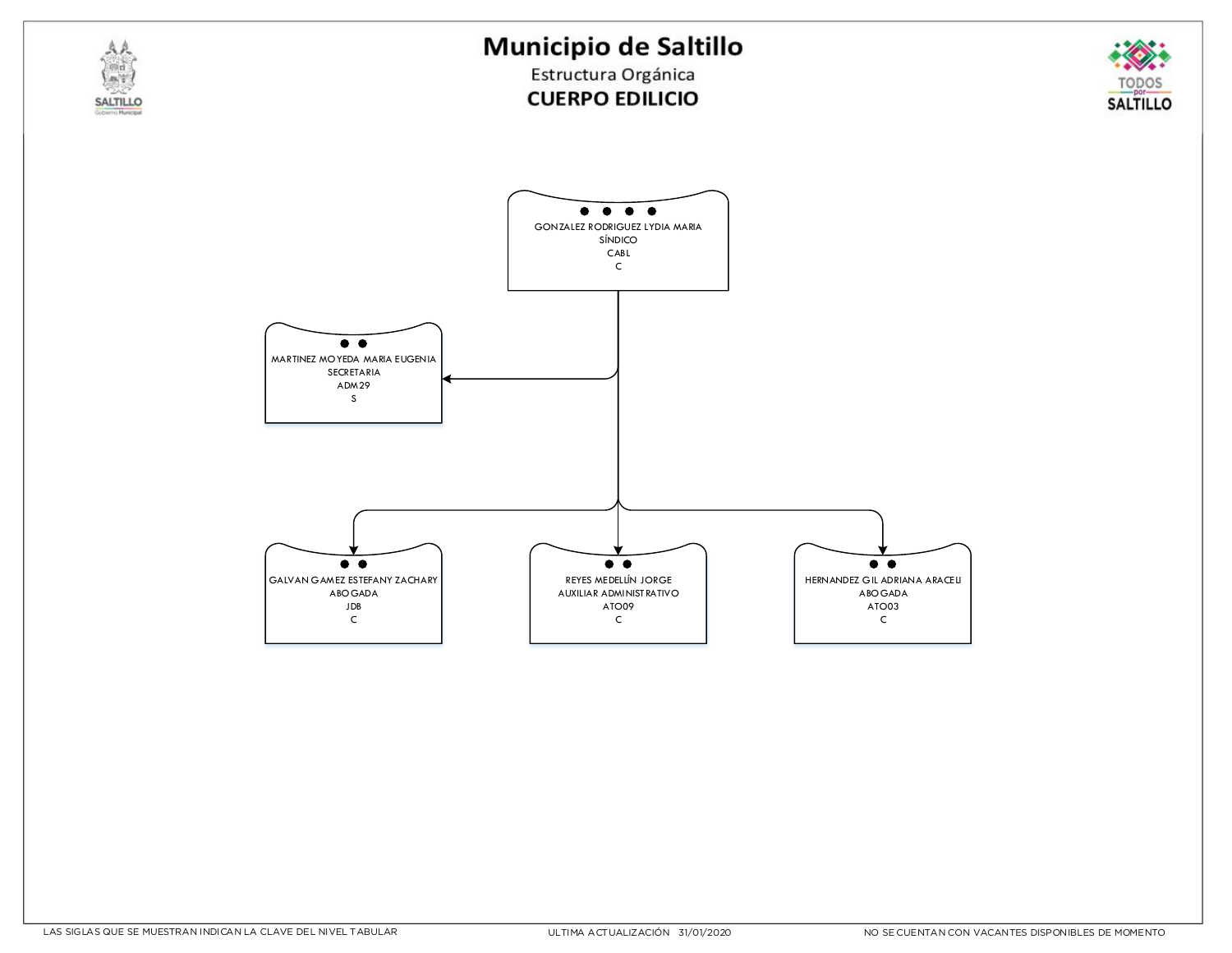Estructura Orgánica **CUERPO EDILICIO** 



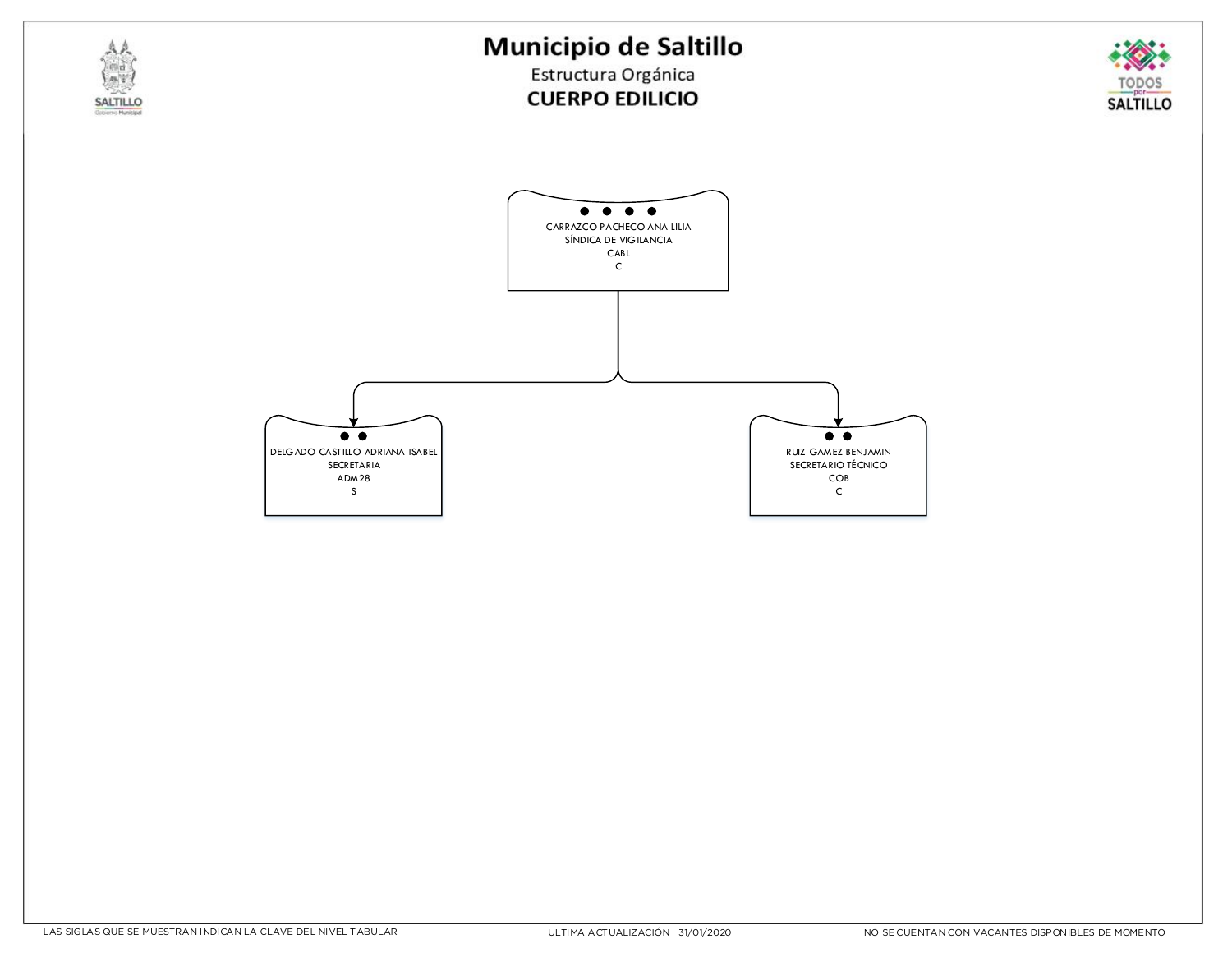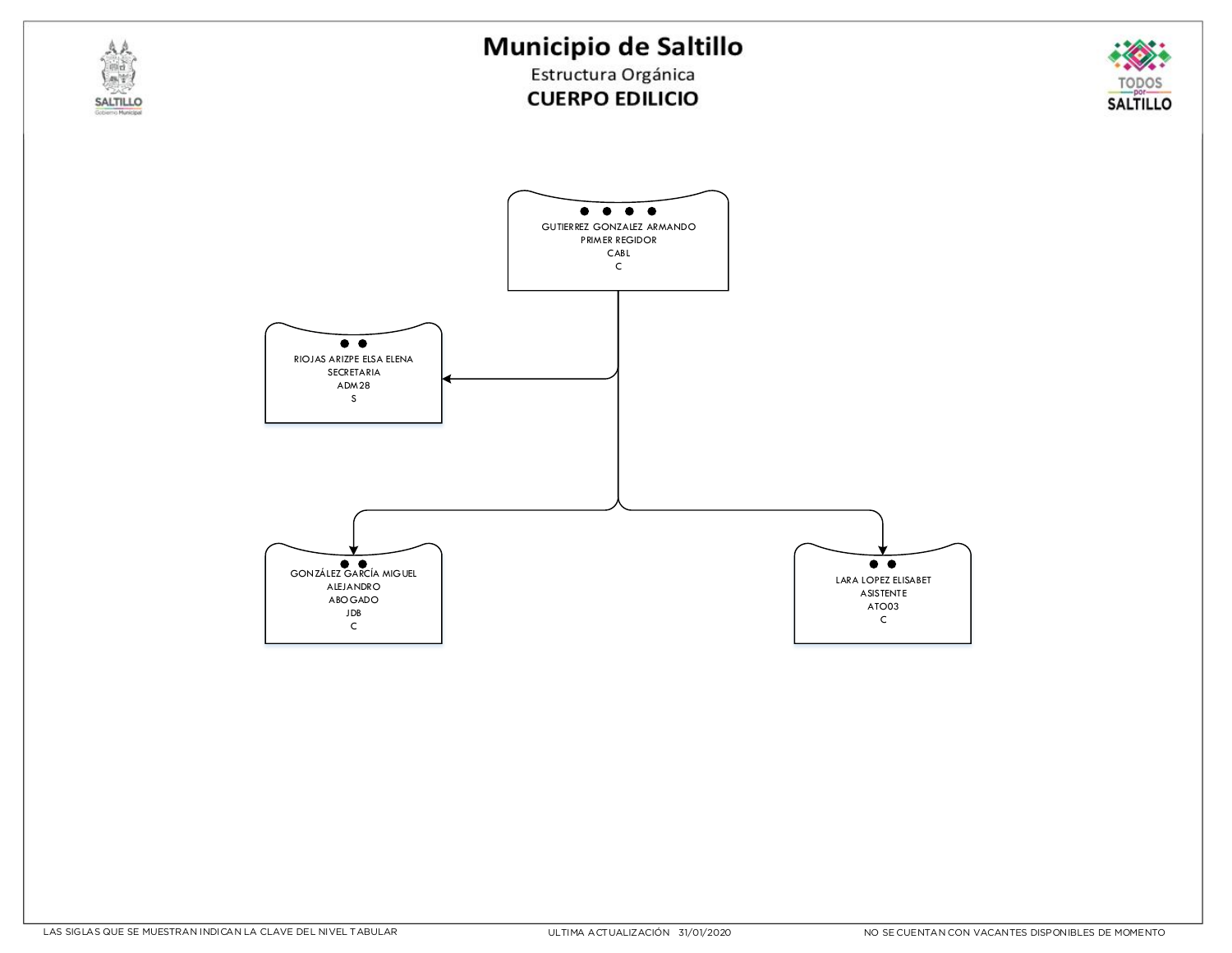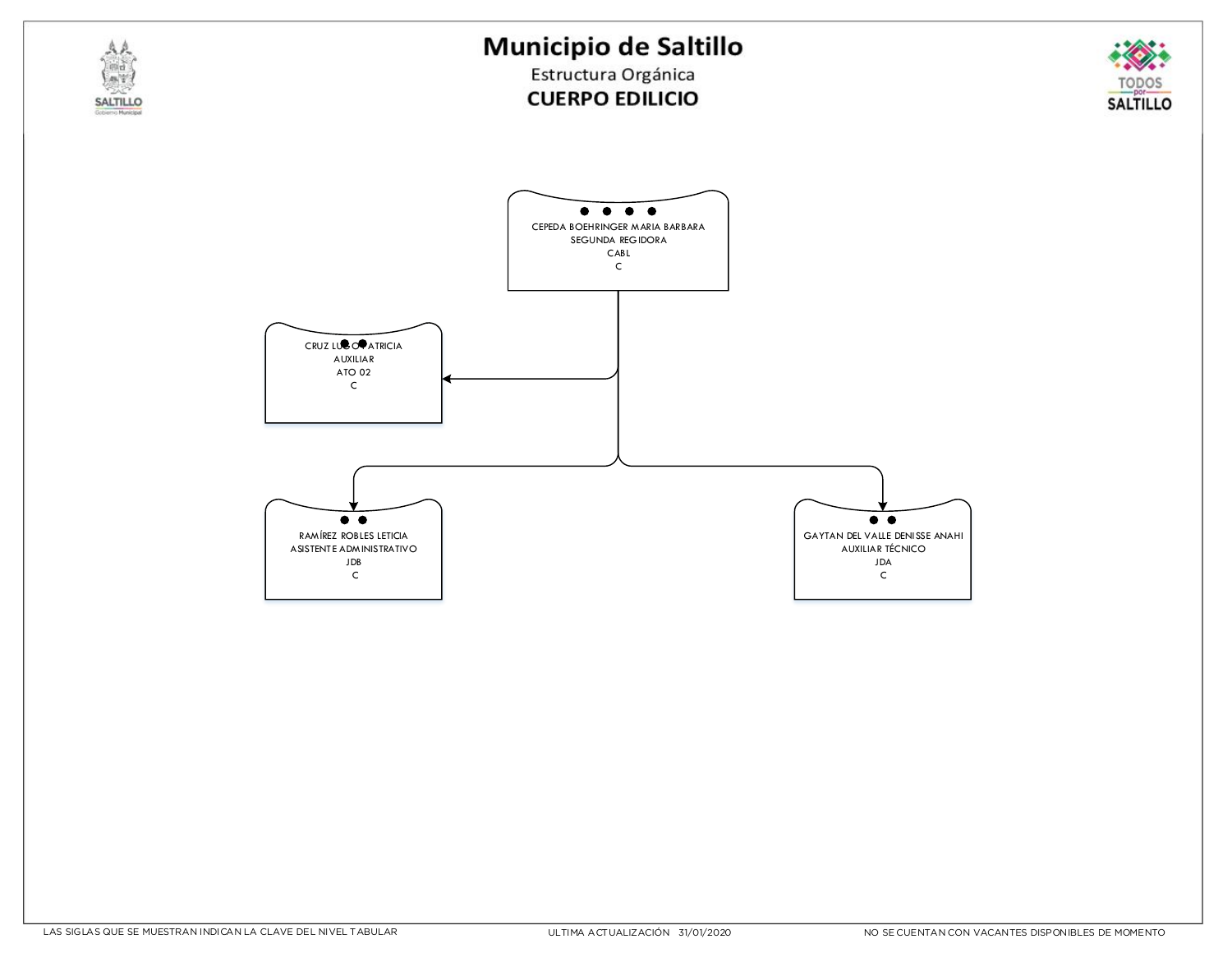Estructura Orgánica **CUERPO EDILICIO** 



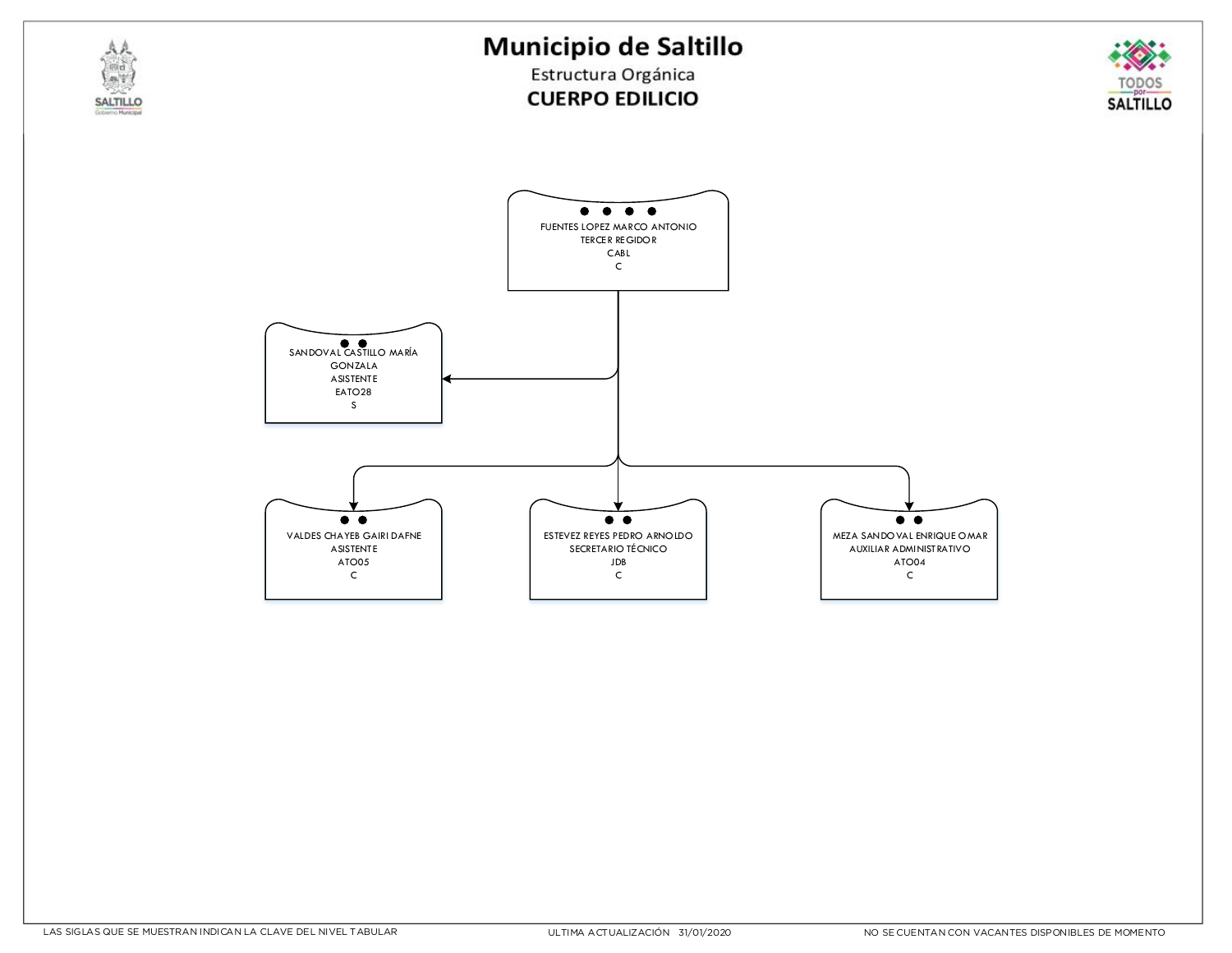

ESTEVEZ REYES PEDRO ARNOLDO SECRETARIO TÉCNICO JDB C

 $\bullet$ 

VALDES CHAYEB GAIRI DAFNE **ASISTENTE** ATO05 C

 $\bullet\bullet$ 

**SALTILLO** 

MEZA SANDOVAL ENRIQUE OMAR AUXILIAR ADMINISTRATIVO ATO04 C

 $\bullet\bullet$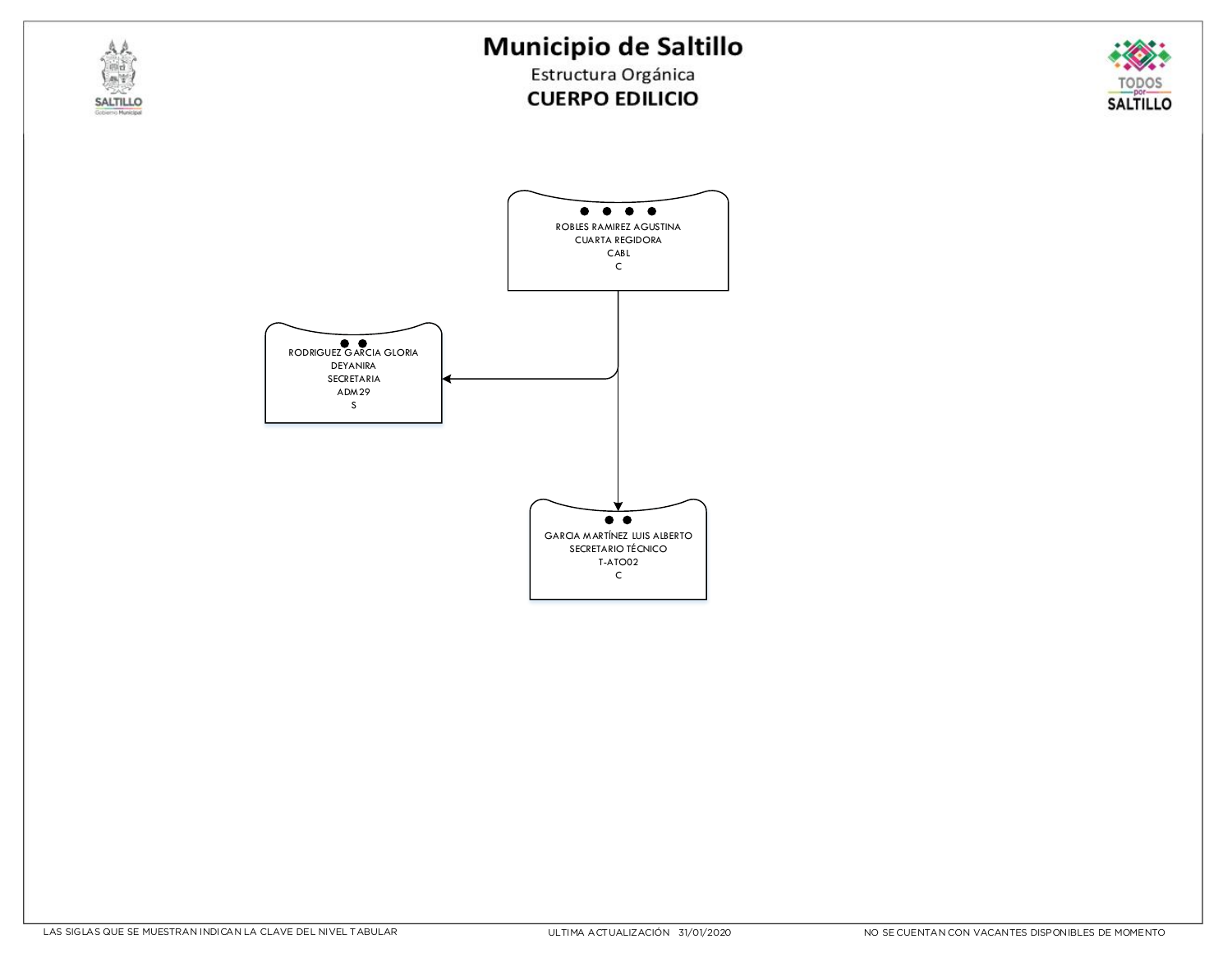



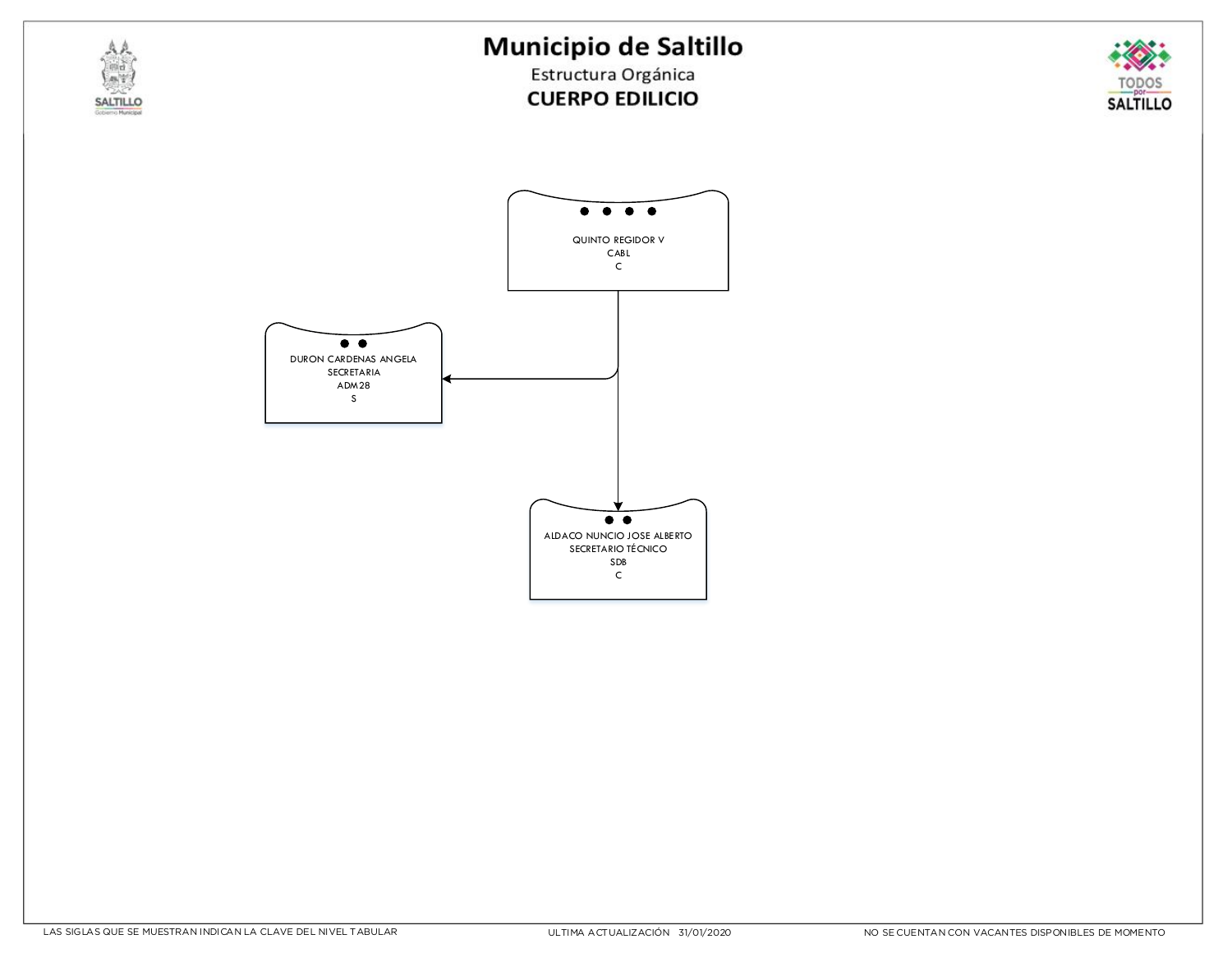## Municipio de Saltillo



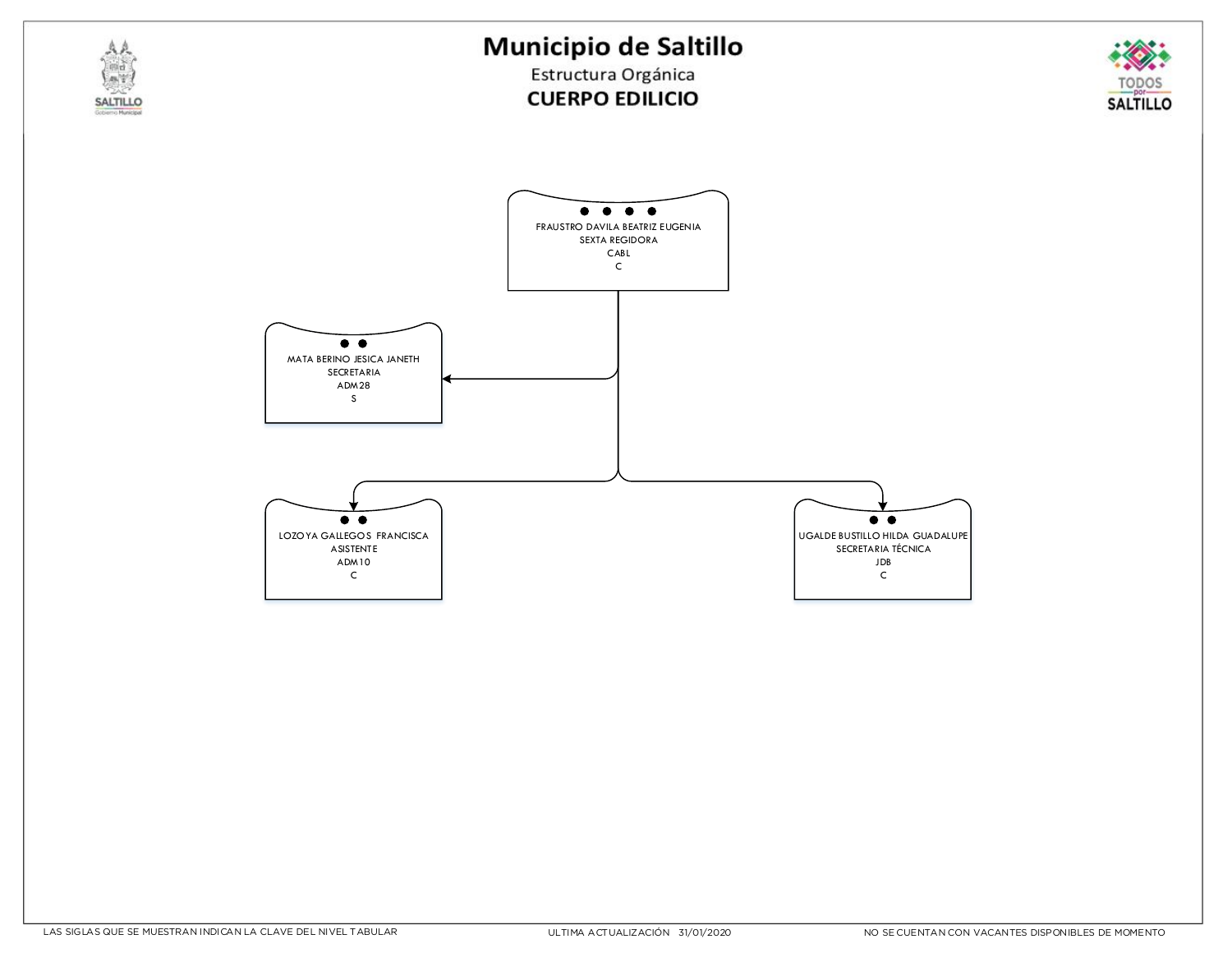



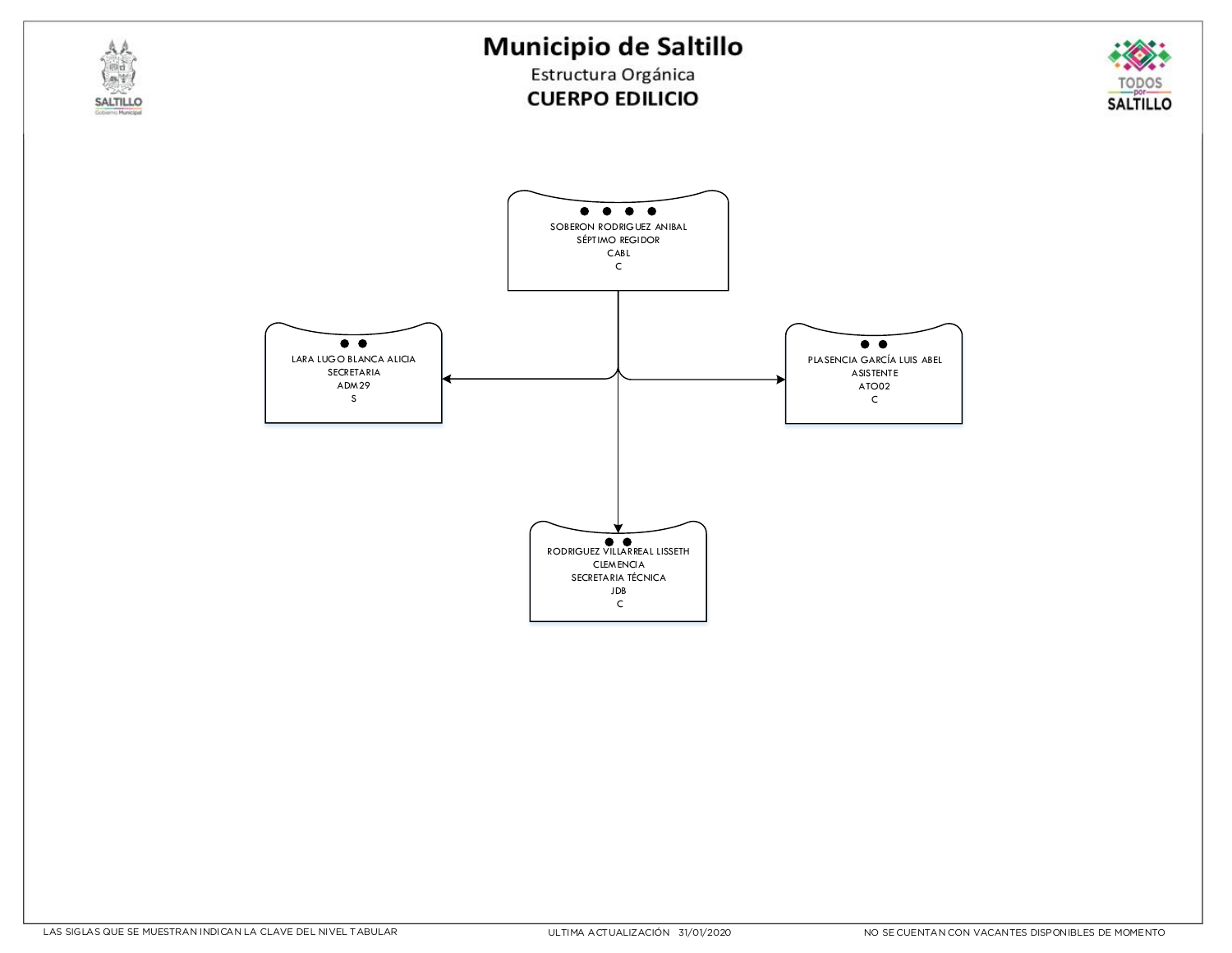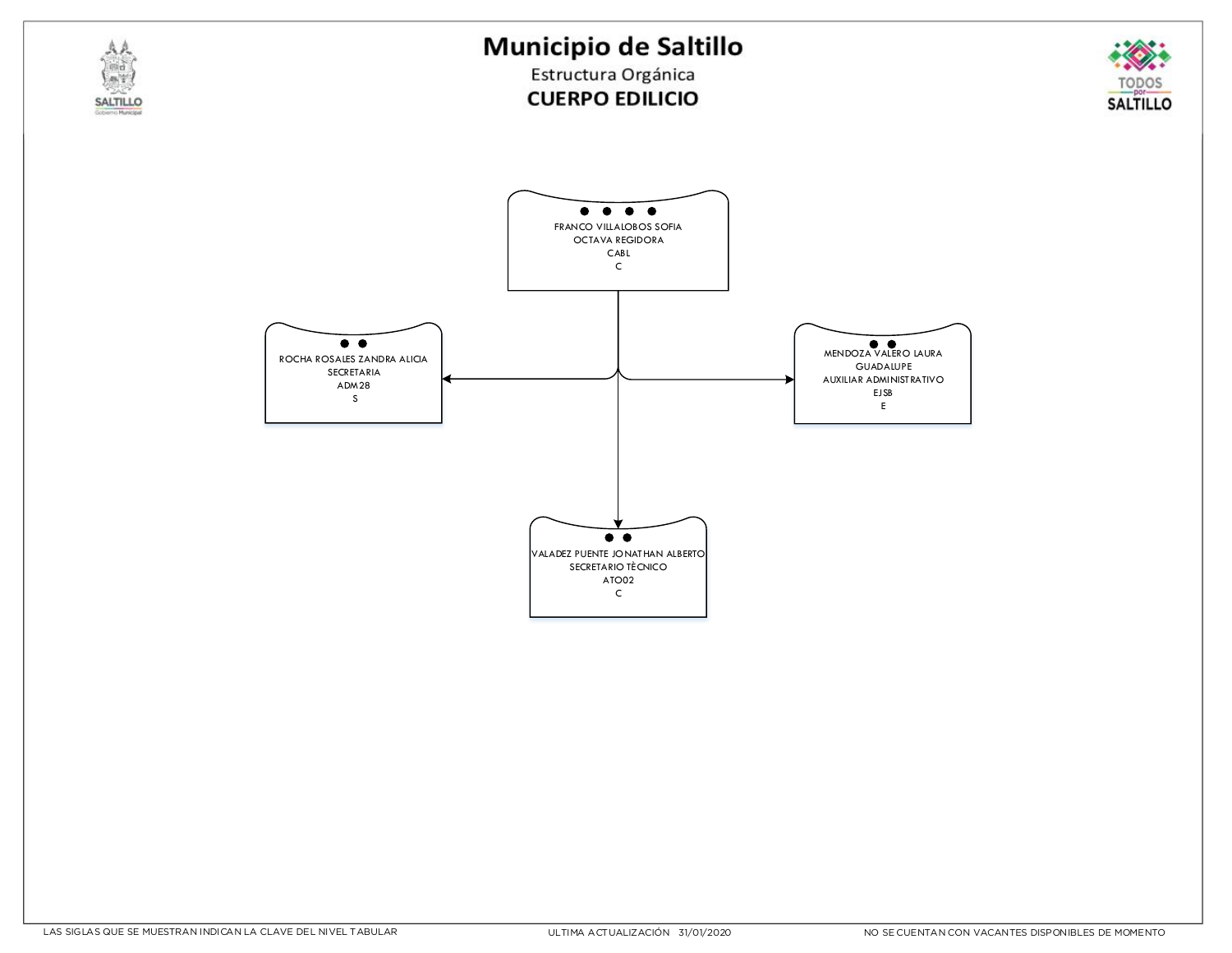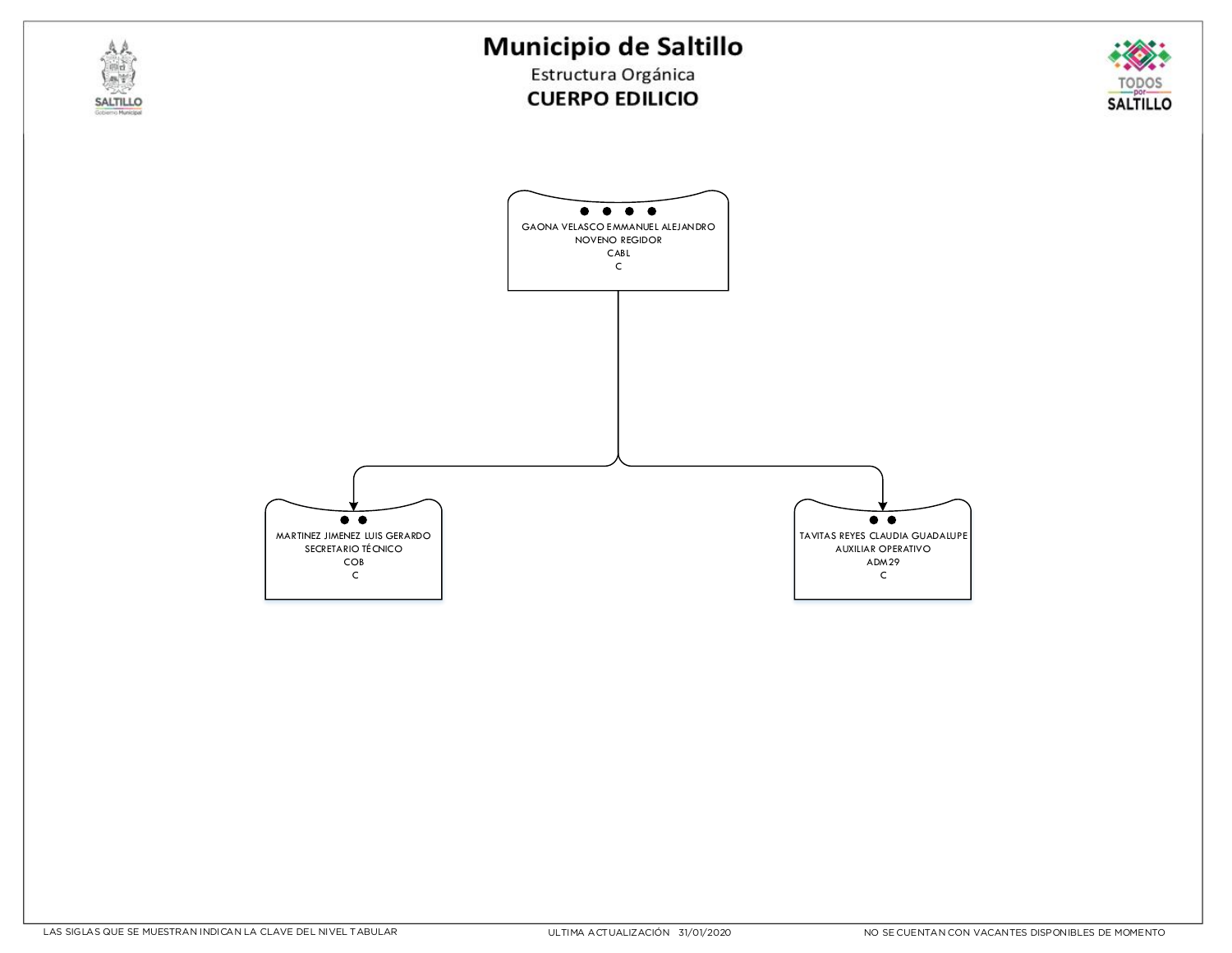



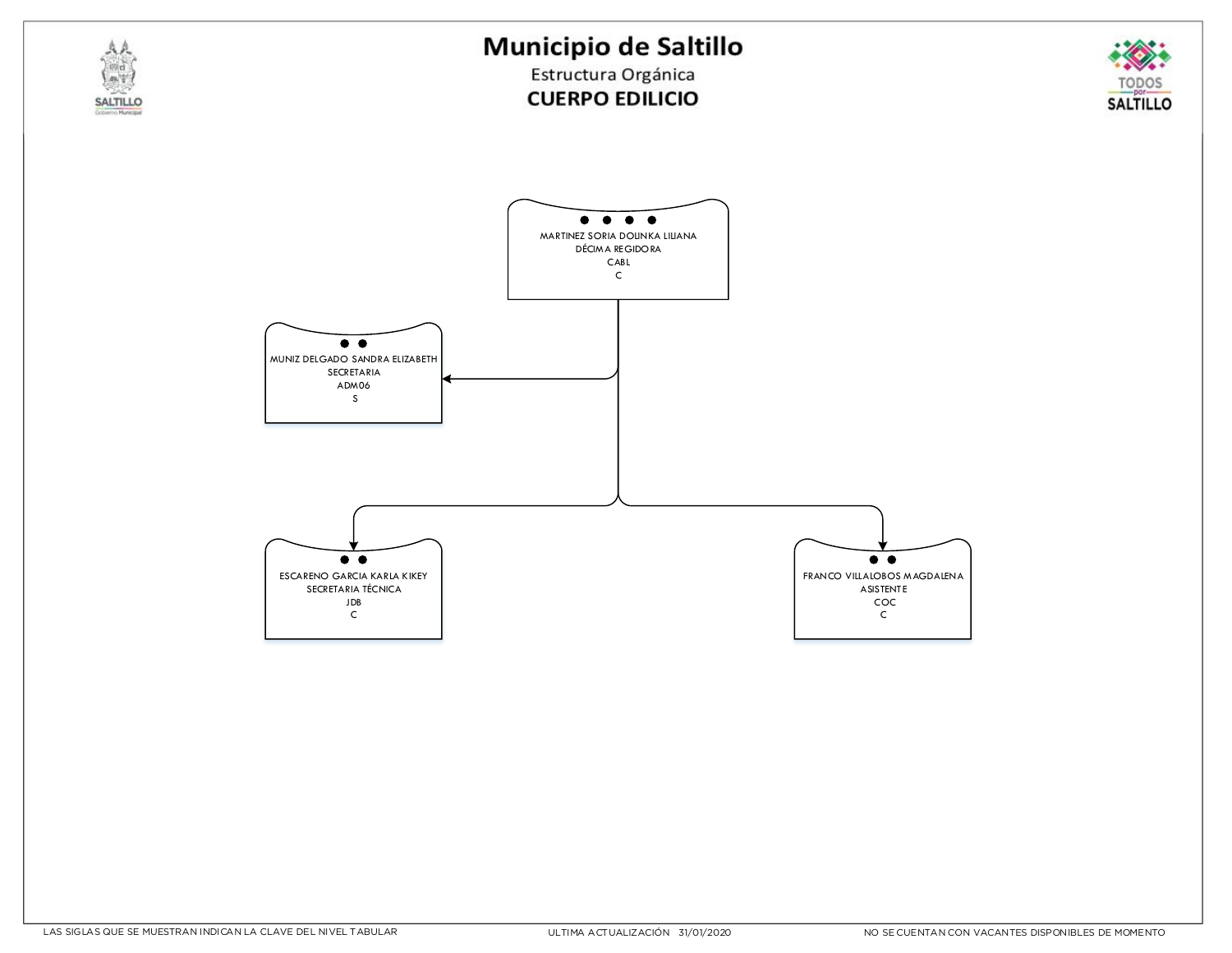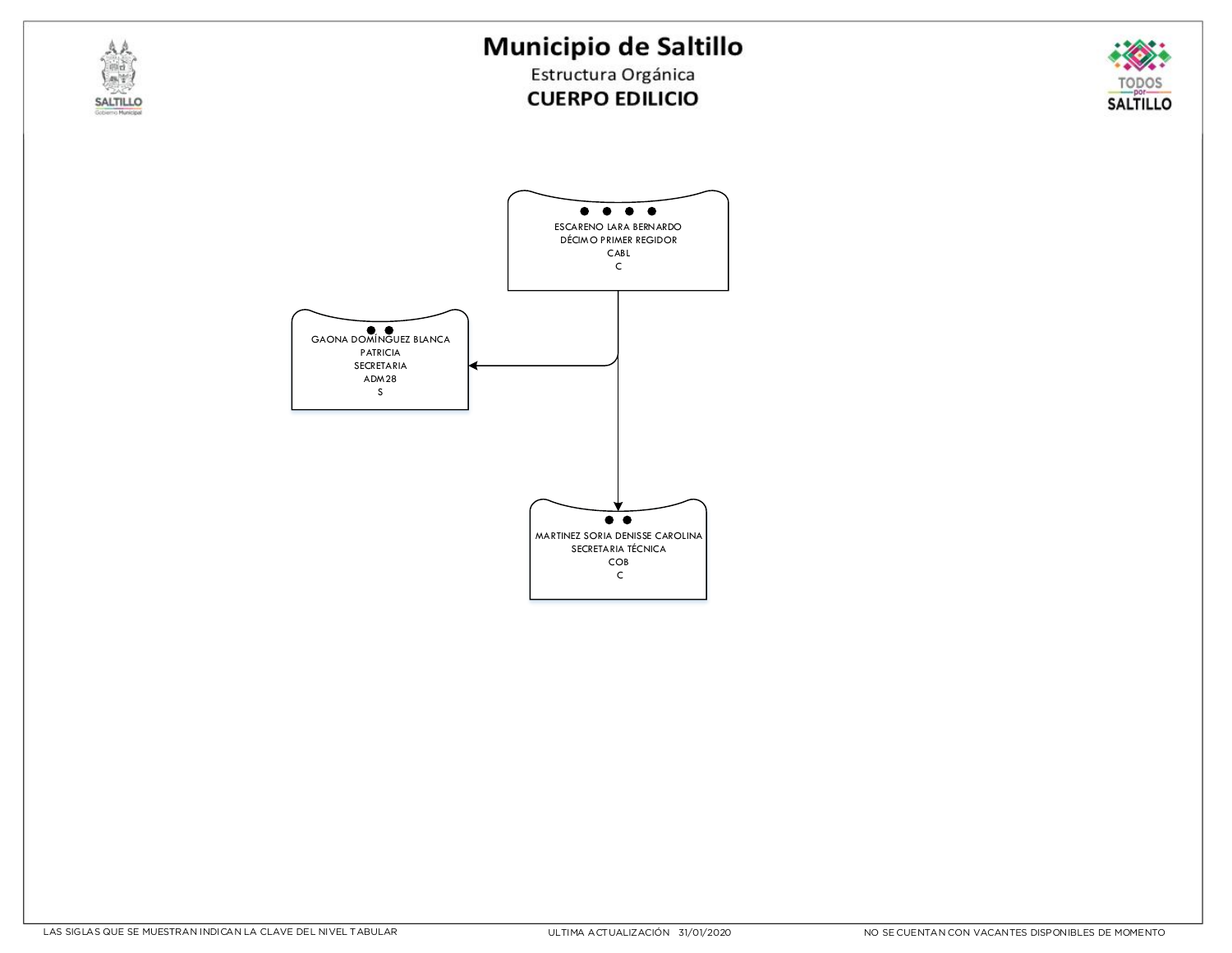



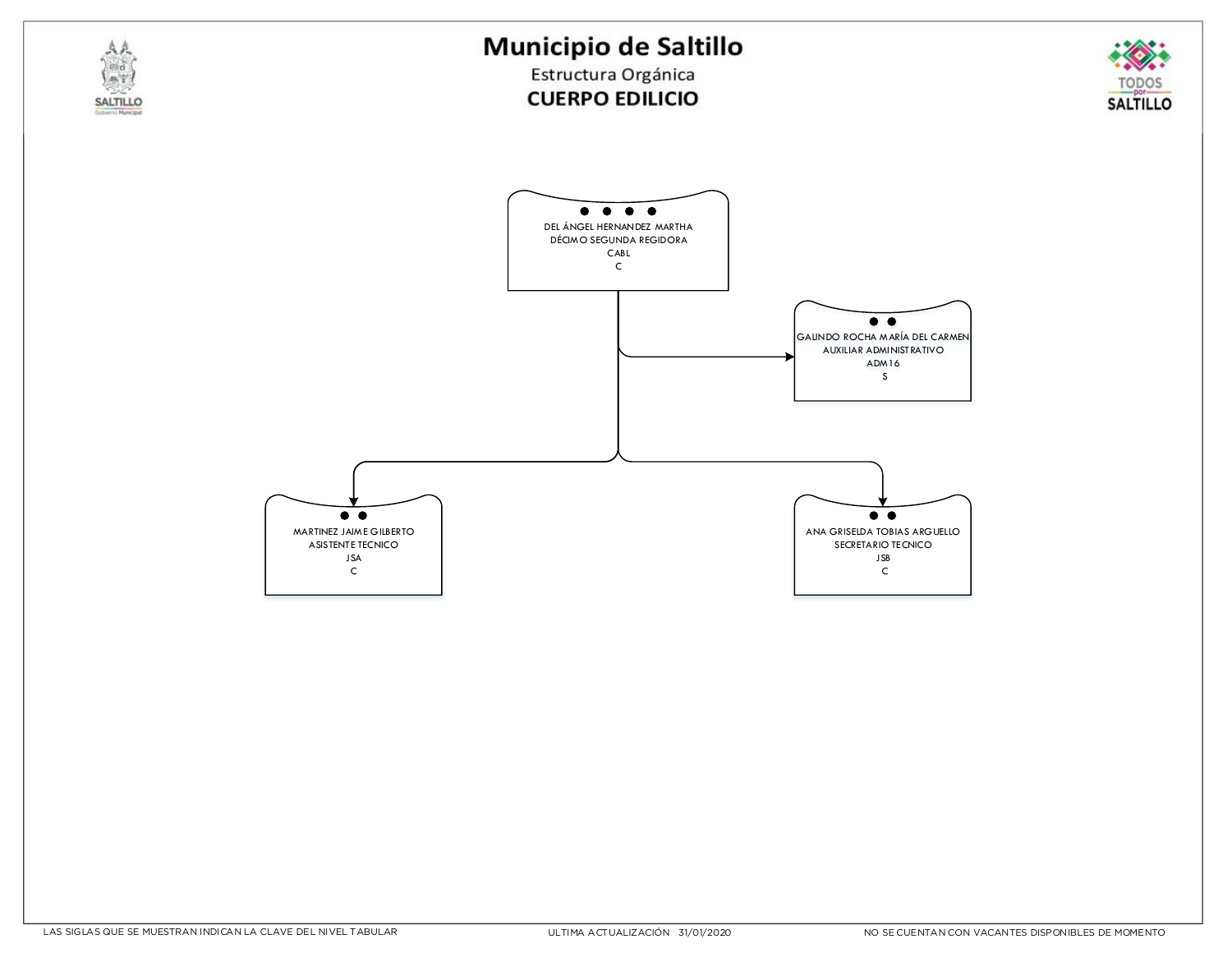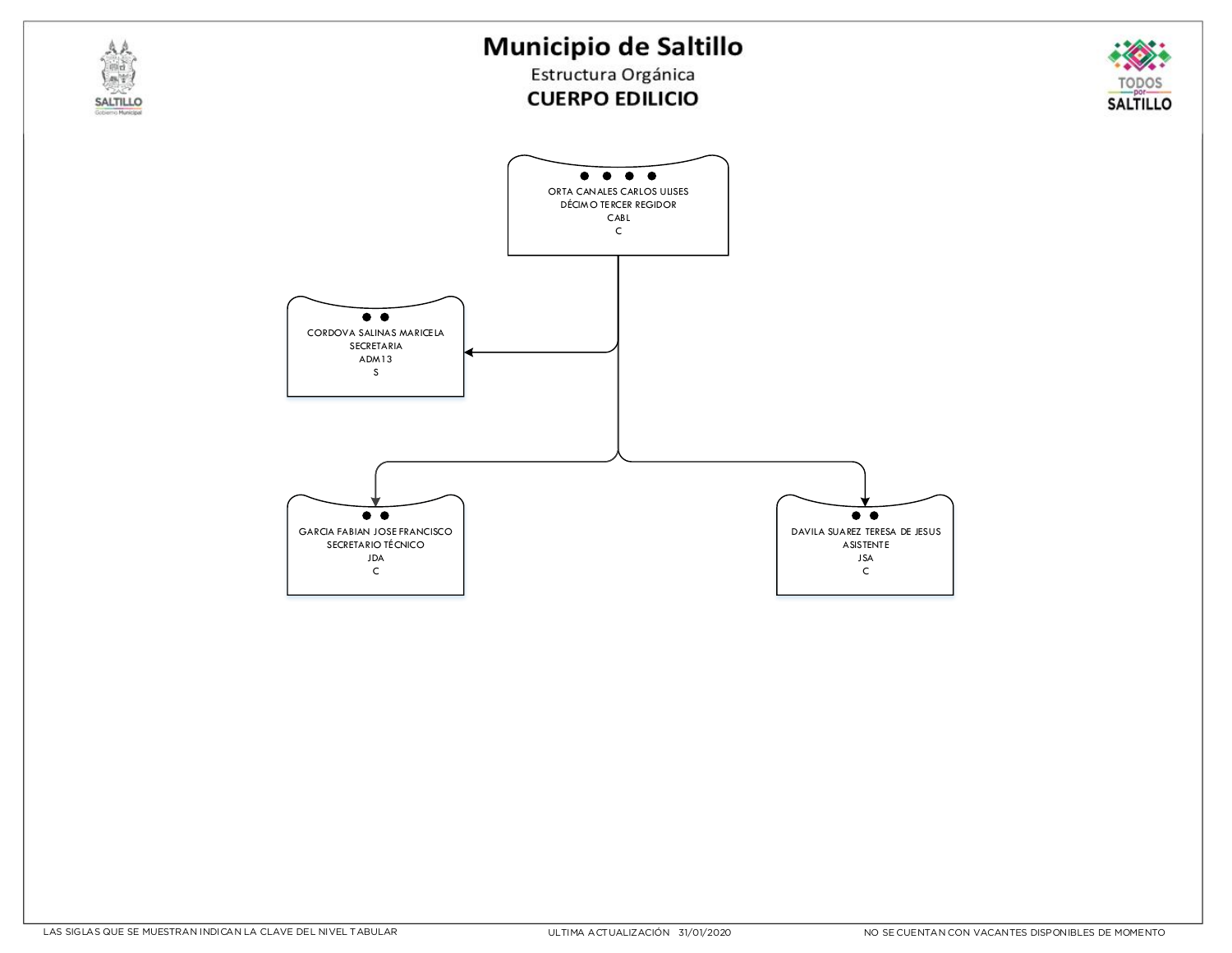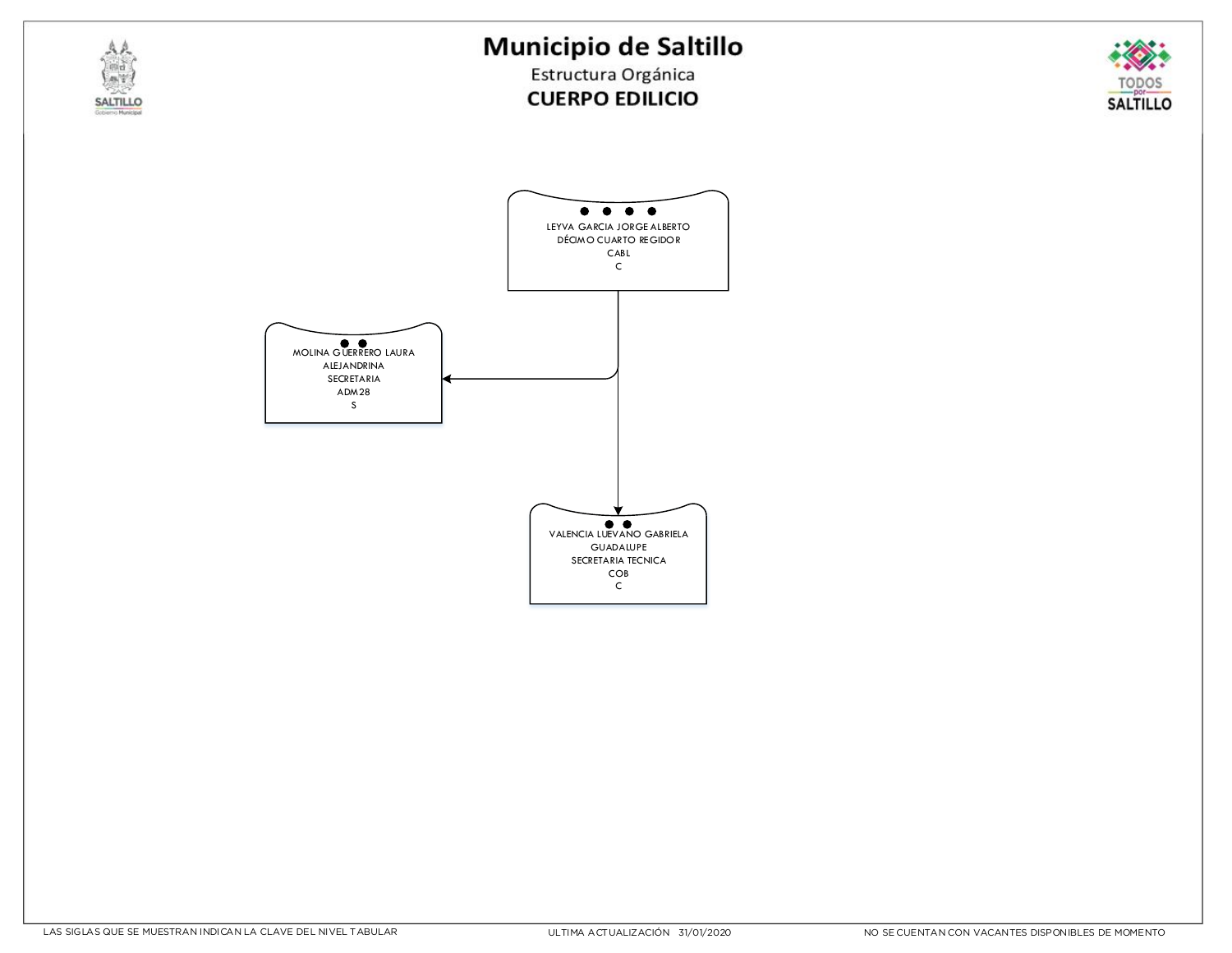



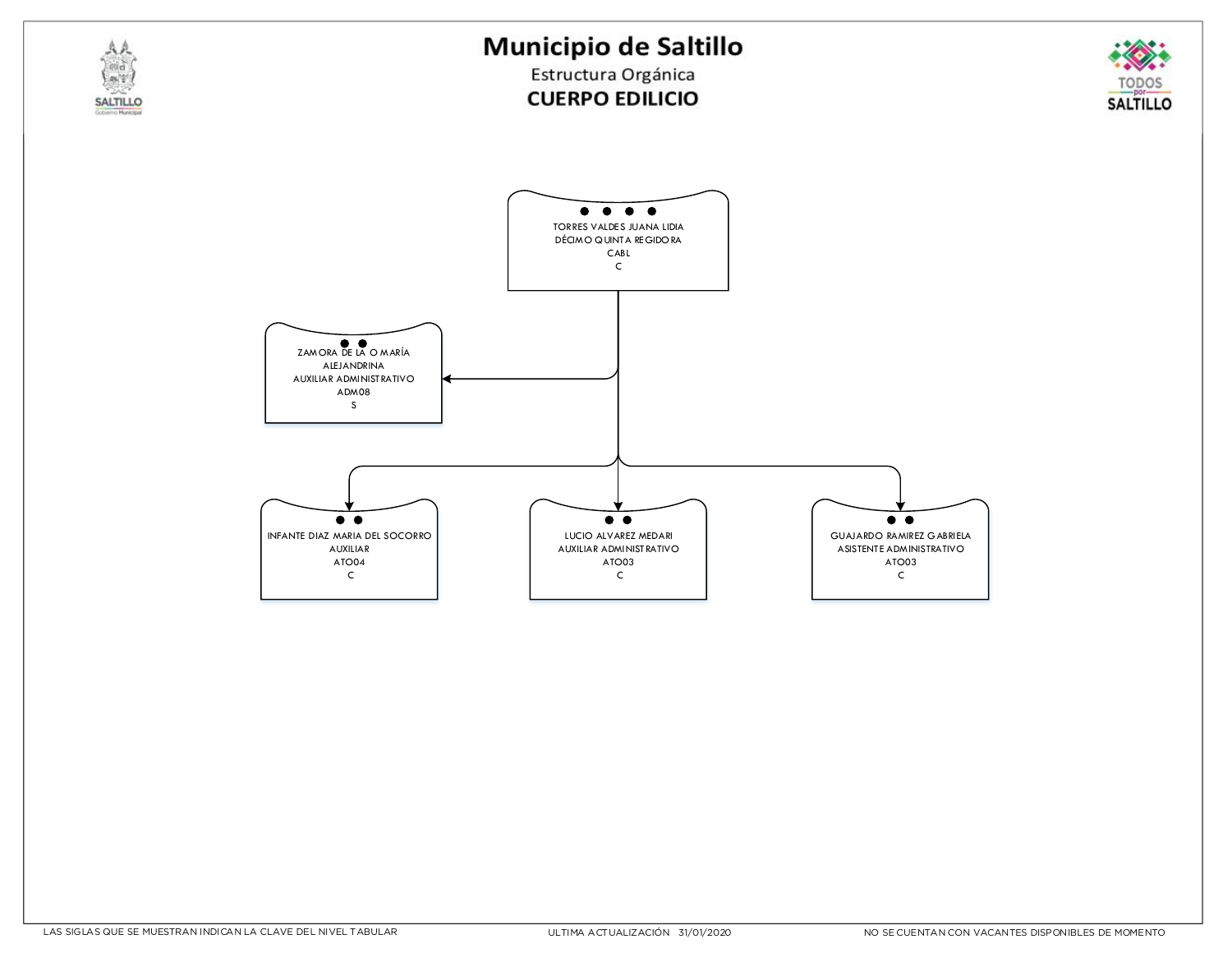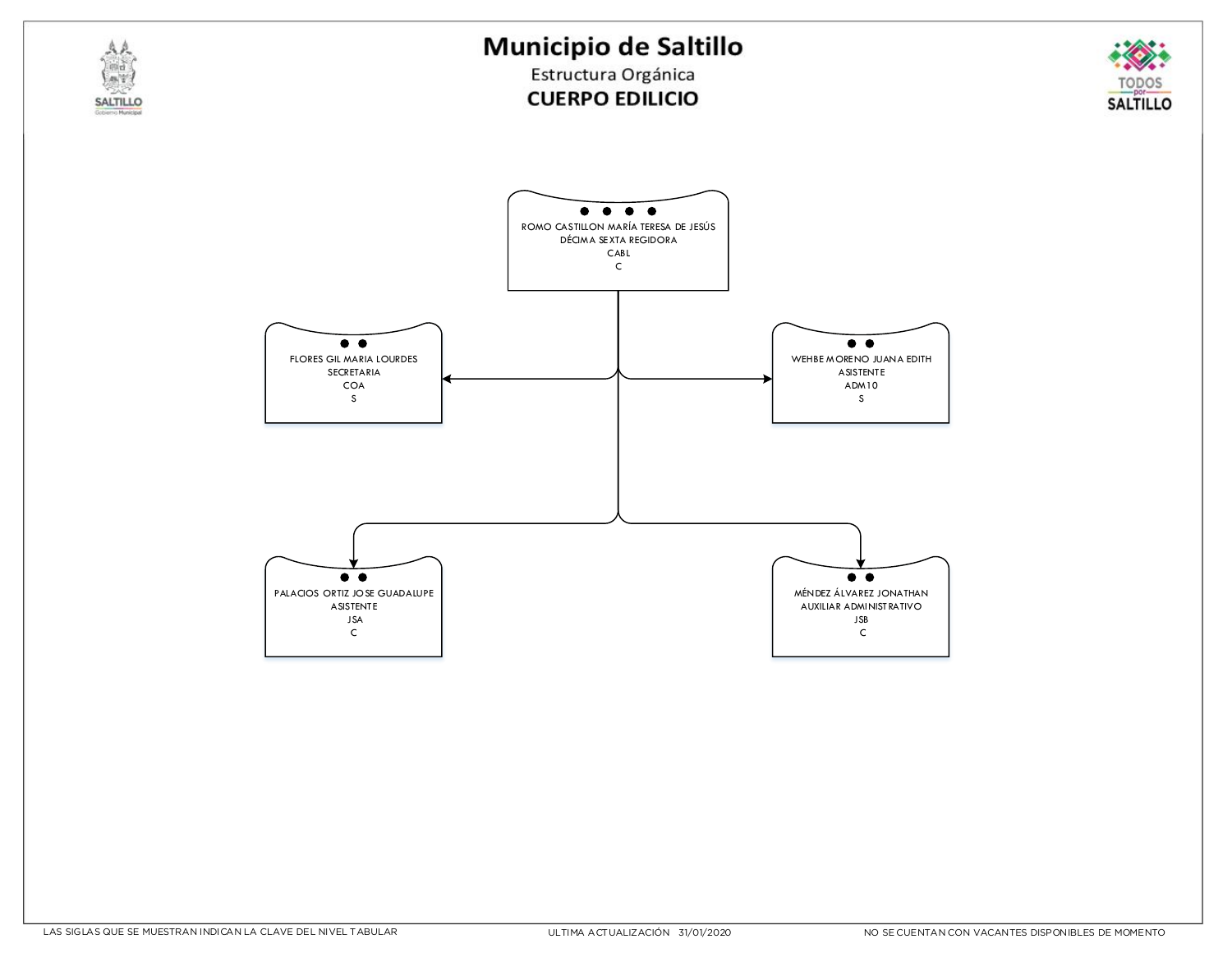